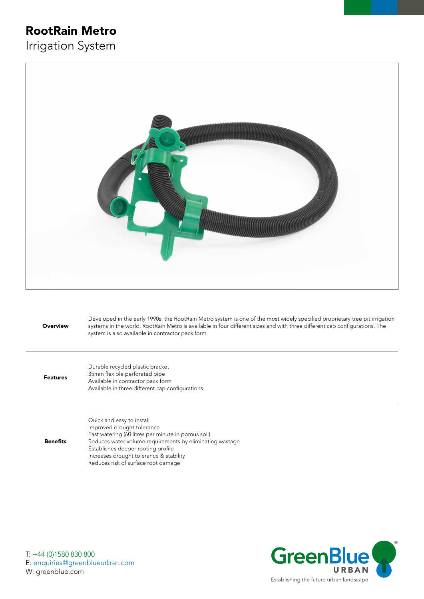## RootRain Metro

Irrigation System



**Overview** Developed in the early 1990s, the RootRain Metro system is one of the most widely specified proprietary tree pit irrigation systems in the world. RootRain Metro is available in four different sizes and with three different cap configurations. The system is also available in contractor pack form. Durable recycled plastic bracket

Features 35mm flexible perforated pipe Available in contractor pack form Available in three different cap configurations

Benefits Quick and easy to install Improved drought tolerance Fast watering (60 litres per minute in porous soil) Reduces water volume requirements by eliminating wastage Establishes deeper rooting profile Increases drought tolerance & stability Reduces risk of surface root damage